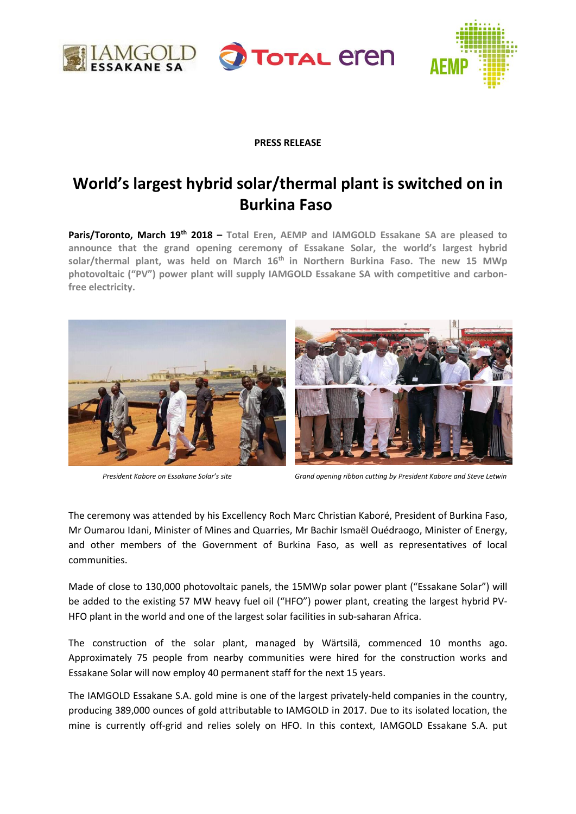





# **PRESS RELEASE**

# **World's largest hybrid solar/thermal plant is switched on in Burkina Faso**

**Paris/Toronto, March 19th 2018 – Total Eren, AEMP and IAMGOLD Essakane SA are pleased to announce that the grand opening ceremony of Essakane Solar, the world's largest hybrid solar/thermal plant, was held on March 16th in Northern Burkina Faso. The new 15 MWp photovoltaic ("PV") power plant will supply IAMGOLD Essakane SA with competitive and carbonfree electricity.**





*President Kabore on Essakane Solar's site Grand opening ribbon cutting by President Kabore and Steve Letwin*

The ceremony was attended by his Excellency Roch Marc Christian Kaboré, President of Burkina Faso, Mr Oumarou Idani, Minister of Mines and Quarries, Mr Bachir Ismaël Ouédraogo, Minister of Energy, and other members of the Government of Burkina Faso, as well as representatives of local communities.

Made of close to 130,000 photovoltaic panels, the 15MWp solar power plant ("Essakane Solar") will be added to the existing 57 MW heavy fuel oil ("HFO") power plant, creating the largest hybrid PV-HFO plant in the world and one of the largest solar facilities in sub-saharan Africa.

The construction of the solar plant, managed by Wärtsilä, commenced 10 months ago. Approximately 75 people from nearby communities were hired for the construction works and Essakane Solar will now employ 40 permanent staff for the next 15 years.

The IAMGOLD Essakane S.A. gold mine is one of the largest privately-held companies in the country, producing 389,000 ounces of gold attributable to IAMGOLD in 2017. Due to its isolated location, the mine is currently off-grid and relies solely on HFO. In this context, IAMGOLD Essakane S.A. put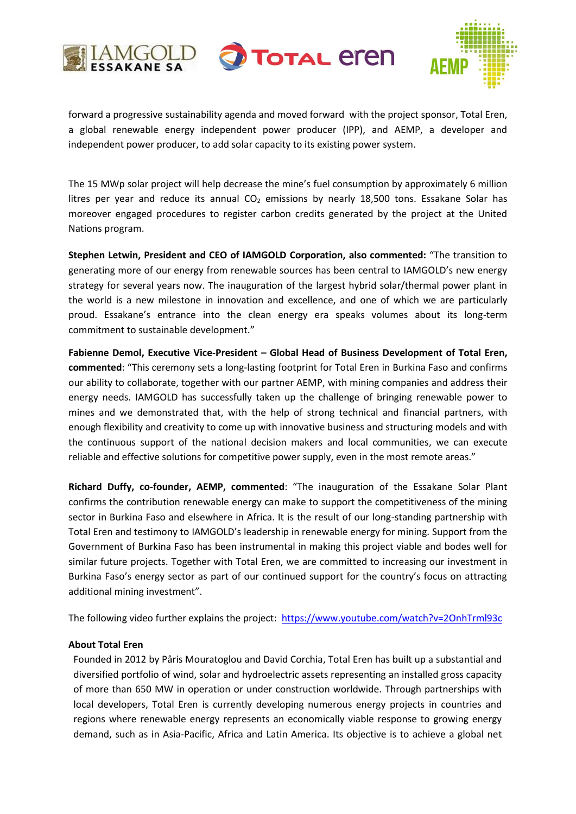





forward a progressive sustainability agenda and moved forward with the project sponsor, Total Eren, a global renewable energy independent power producer (IPP), and AEMP, a developer and independent power producer, to add solar capacity to its existing power system.

The 15 MWp solar project will help decrease the mine's fuel consumption by approximately 6 million litres per year and reduce its annual  $CO<sub>2</sub>$  emissions by nearly 18,500 tons. Essakane Solar has moreover engaged procedures to register carbon credits generated by the project at the United Nations program.

**Stephen Letwin, President and CEO of IAMGOLD Corporation, also commented:** "The transition to generating more of our energy from renewable sources has been central to IAMGOLD's new energy strategy for several years now. The inauguration of the largest hybrid solar/thermal power plant in the world is a new milestone in innovation and excellence, and one of which we are particularly proud. Essakane's entrance into the clean energy era speaks volumes about its long-term commitment to sustainable development."

**Fabienne Demol, Executive Vice-President – Global Head of Business Development of Total Eren, commented**: "This ceremony sets a long-lasting footprint for Total Eren in Burkina Faso and confirms our ability to collaborate, together with our partner AEMP, with mining companies and address their energy needs. IAMGOLD has successfully taken up the challenge of bringing renewable power to mines and we demonstrated that, with the help of strong technical and financial partners, with enough flexibility and creativity to come up with innovative business and structuring models and with the continuous support of the national decision makers and local communities, we can execute reliable and effective solutions for competitive power supply, even in the most remote areas."

**Richard Duffy, co-founder, AEMP, commented**: "The inauguration of the Essakane Solar Plant confirms the contribution renewable energy can make to support the competitiveness of the mining sector in Burkina Faso and elsewhere in Africa. It is the result of our long-standing partnership with Total Eren and testimony to IAMGOLD's leadership in renewable energy for mining. Support from the Government of Burkina Faso has been instrumental in making this project viable and bodes well for similar future projects. Together with Total Eren, we are committed to increasing our investment in Burkina Faso's energy sector as part of our continued support for the country's focus on attracting additional mining investment".

The following video further explains the project: <https://www.youtube.com/watch?v=2OnhTrml93c>

# **About Total Eren**

Founded in 2012 by Pâris Mouratoglou and David Corchia, Total Eren has built up a substantial and diversified portfolio of wind, solar and hydroelectric assets representing an installed gross capacity of more than 650 MW in operation or under construction worldwide. Through partnerships with local developers, Total Eren is currently developing numerous energy projects in countries and regions where renewable energy represents an economically viable response to growing energy demand, such as in Asia-Pacific, Africa and Latin America. Its objective is to achieve a global net